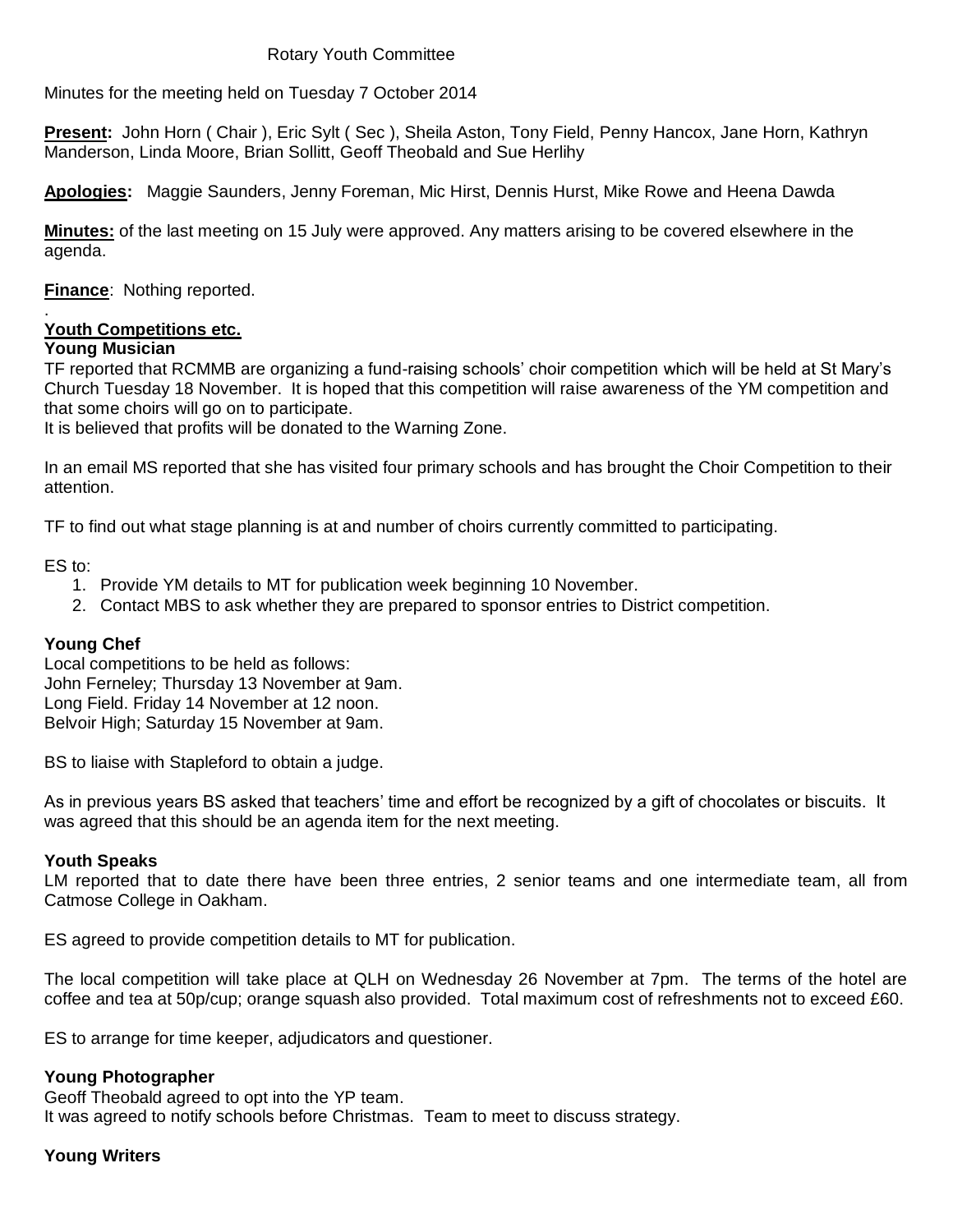### Rotary Youth Committee

Minutes for the meeting held on Tuesday 7 October 2014

**Present:** John Horn ( Chair ), Eric Sylt ( Sec ), Sheila Aston, Tony Field, Penny Hancox, Jane Horn, Kathryn Manderson, Linda Moore, Brian Sollitt, Geoff Theobald and Sue Herlihy

**Apologies:** Maggie Saunders, Jenny Foreman, Mic Hirst, Dennis Hurst, Mike Rowe and Heena Dawda

**Minutes:** of the last meeting on 15 July were approved. Any matters arising to be covered elsewhere in the agenda.

**Finance**: Nothing reported.

#### . **Youth Competitions etc.**

## **Young Musician**

TF reported that RCMMB are organizing a fund-raising schools' choir competition which will be held at St Mary's Church Tuesday 18 November. It is hoped that this competition will raise awareness of the YM competition and that some choirs will go on to participate.

It is believed that profits will be donated to the Warning Zone.

In an email MS reported that she has visited four primary schools and has brought the Choir Competition to their attention.

TF to find out what stage planning is at and number of choirs currently committed to participating.

ES to:

- 1. Provide YM details to MT for publication week beginning 10 November.
- 2. Contact MBS to ask whether they are prepared to sponsor entries to District competition.

## **Young Chef**

Local competitions to be held as follows: John Ferneley; Thursday 13 November at 9am. Long Field. Friday 14 November at 12 noon. Belvoir High; Saturday 15 November at 9am.

BS to liaise with Stapleford to obtain a judge.

As in previous years BS asked that teachers' time and effort be recognized by a gift of chocolates or biscuits. It was agreed that this should be an agenda item for the next meeting.

### **Youth Speaks**

LM reported that to date there have been three entries, 2 senior teams and one intermediate team, all from Catmose College in Oakham.

ES agreed to provide competition details to MT for publication.

The local competition will take place at QLH on Wednesday 26 November at 7pm. The terms of the hotel are coffee and tea at 50p/cup; orange squash also provided. Total maximum cost of refreshments not to exceed £60.

ES to arrange for time keeper, adjudicators and questioner.

### **Young Photographer**

Geoff Theobald agreed to opt into the YP team. It was agreed to notify schools before Christmas. Team to meet to discuss strategy.

### **Young Writers**